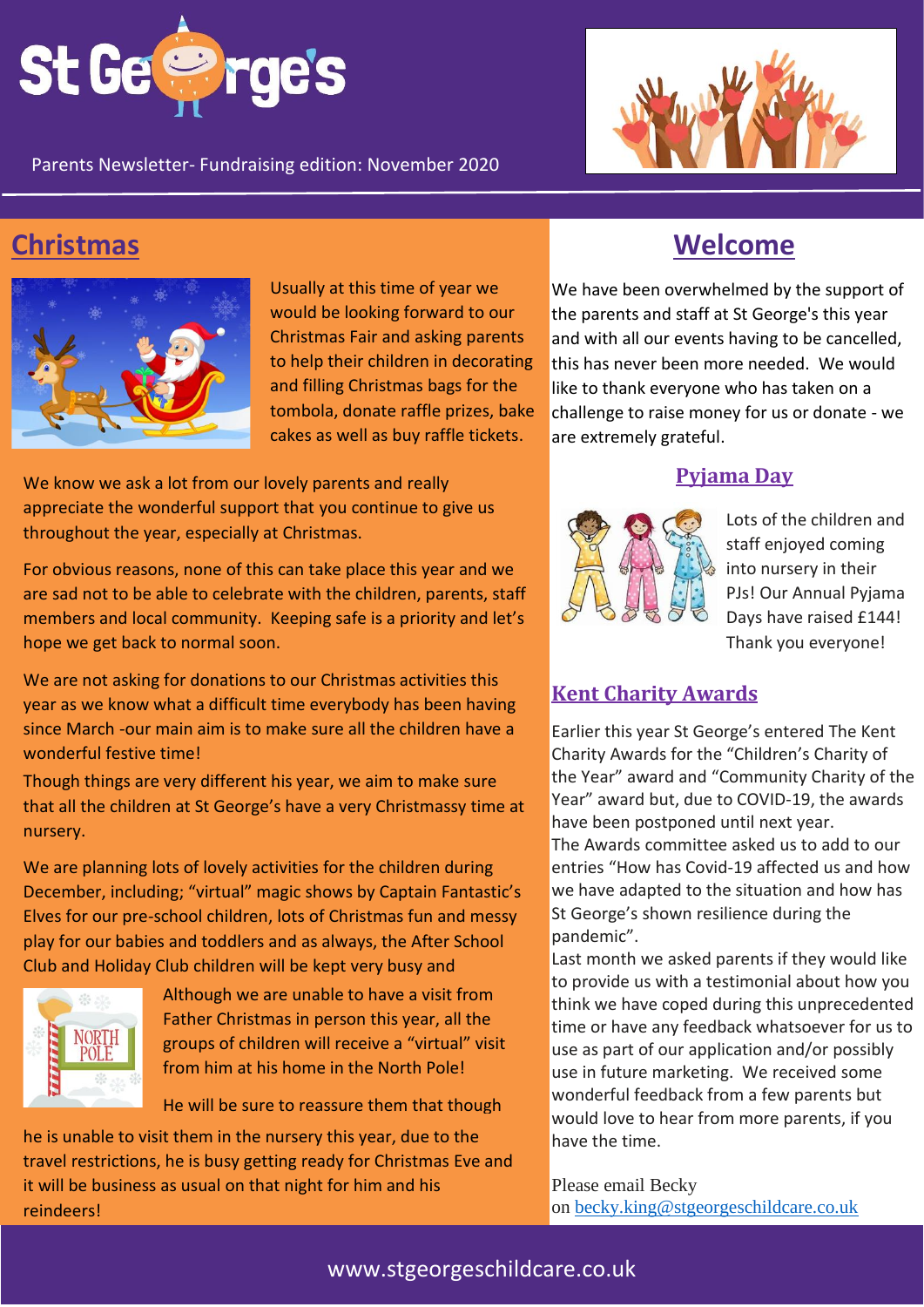

Parents Newsletter- Fundraising edition: November 2020



## **Christmas Welcome**



Usually at this time of year we would be looking forward to our Christmas Fair and asking parents to help their children in decorating and filling Christmas bags for the tombola, donate raffle prizes, bake cakes as well as buy raffle tickets.

We know we ask a lot from our lovely parents and really appreciate the wonderful support that you continue to give us throughout the year, especially at Christmas.

For obvious reasons, none of this can take place this year and we are sad not to be able to celebrate with the children, parents, staff members and local community. Keeping safe is a priority and let's hope we get back to normal soon.

We are not asking for donations to our Christmas activities this year as we know what a difficult time everybody has been having since March -our main aim is to make sure all the children have a wonderful festive time!

Though things are very different his year, we aim to make sure that all the children at St George's have a very Christmassy time at nursery.

We are planning lots of lovely activities for the children during December, including; "virtual" magic shows by Captain Fantastic's Elves for our pre-school children, lots of Christmas fun and messy play for our babies and toddlers and as always, the After School Club and Holiday Club children will be kept very busy and



Although we are unable to have a visit from Father Christmas in person this year, all the groups of children will receive a "virtual" visit from him at his home in the North Pole!

He will be sure to reassure them that though

he is unable to visit them in the nursery this year, due to the travel restrictions, he is busy getting ready for Christmas Eve and it will be business as usual on that night for him and his reindeers!

We have been overwhelmed by the support of the parents and staff at St George's this year and with all our events having to be cancelled, this has never been more needed. We would like to thank everyone who has taken on a challenge to raise money for us or donate - we are extremely grateful.

#### **Pyjama Day**



Lots of the children and staff enjoyed coming into nursery in their PJs! Our Annual Pyjama Days have raised £144! Thank you everyone!

### **Kent Charity Awards**

Earlier this year St George's entered The Kent Charity Awards for the "Children's Charity of the Year" award and "Community Charity of the Year" award but, due to COVID-19, the awards have been postponed until next year. The Awards committee asked us to add to our entries "How has Covid-19 affected us and how we have adapted to the situation and how has St George's shown resilience during the pandemic".

Last month we asked parents if they would like to provide us with a testimonial about how you think we have coped during this unprecedented time or have any feedback whatsoever for us to use as part of our application and/or possibly use in future marketing. We received some wonderful feedback from a few parents but would love to hear from more parents, if you have the time.

Please email Becky on [becky.king@stgeorgeschildcare.co.uk](mailto:becky.king@stgeorgeschildcare.co.uk)